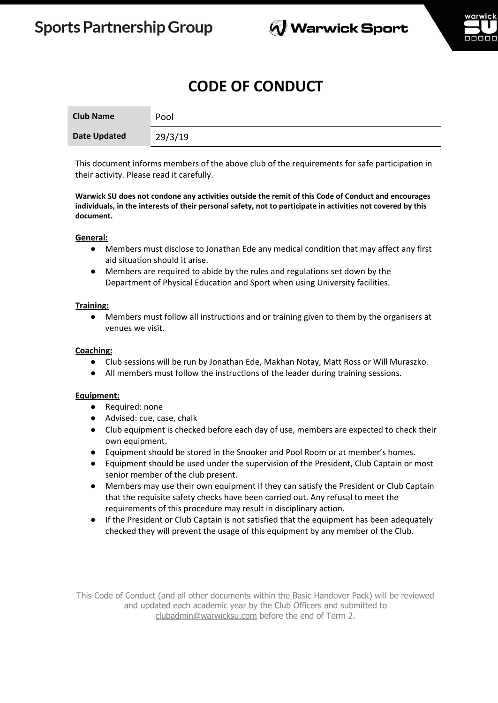

# **CODE OF CONDUCT**

| <b>Club Name</b>    | Pool    |
|---------------------|---------|
| <b>Date Updated</b> | 29/3/19 |

This document informs members of the above club of the requirements for safe participation in their activity. Please read it carefully.

**Warwick SU does not condone any activities outside the remit of this Code of Conduct and encourages** individuals, in the interests of their personal safety, not to participate in activities not covered by this **document.**

### **General:**

- Members must disclose to Jonathan Ede any medical condition that may affect any first aid situation should it arise.
- Members are required to abide by the rules and regulations set down by the Department of Physical Education and Sport when using University facilities.

### **Training:**

● Members must follow all instructions and or training given to them by the organisers at venues we visit.

### **Coaching:**

- Club sessions will be run by Jonathan Ede, Makhan Notay, Matt Ross or Will Muraszko.
- All members must follow the instructions of the leader during training sessions.

#### **Equipment:**

- Required: none
- Advised: cue, case, chalk
- Club equipment is checked before each day of use, members are expected to check their own equipment.
- Equipment should be stored in the Snooker and Pool Room or at member's homes.
- Equipment should be used under the supervision of the President, Club Captain or most senior member of the club present.
- Members may use their own equipment if they can satisfy the President or Club Captain that the requisite safety checks have been carried out. Any refusal to meet the requirements of this procedure may result in disciplinary action.
- If the President or Club Captain is not satisfied that the equipment has been adequately checked they will prevent the usage of this equipment by any member of the Club.

This Code of Conduct (and all other documents within the Basic Handover Pack) will be reviewed and updated each academic year by the Club Officers and submitted to clubadmin@warwicksu.com before the end of Term 2.